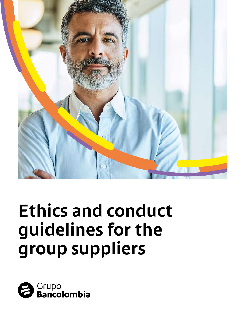

# **Ethics and conduct guidelines for the group suppliers**

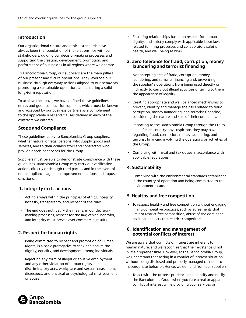#### **Introduction**

Our organizational culture and ethical standards have always been the foundation of the relationships with our stakeholders, guiding our decision-making processes and supporting the creation, development, promotion, and performance of businesses in all regions where we operate.

To Bancolombia Group, our suppliers are the main pillars of our present and future operations. They leverage our business through everyday actions aligned to our behaviors, promoting a sustainable operation, and ensuring a solid long-term reputation.

To achieve the above, we have defined these guidelines in ethics and good conduct for suppliers, which must be known and accepted by our business partners as a complement to the applicable rules and clauses defined in each of the contracts we entered.

#### **Scope and Compliance**

These guidelines apply to Bancolombia Group suppliers, whether natural or legal persons, who supply goods and services, and to their collaborators and contractors who provide goods or services for the Group.

Suppliers must be able to demonstrate compliance with these guidelines. Bancolombia Group may carry out verification actions directly or through third parties and in the event of non-compliance, agree on improvement actions and impose sanctions.

#### **1. Integrity in its actions**

- *-* Acting always within the principles of ethics, integrity, honesty, transparency, and respect of the rules.
- *-* The end does not justify the means; in our decisionmaking processes, respect for the law, ethical behavior, and integrity must prevail over commercial results.

#### **2. Respect for human rights**

- *-* Being committed to respect and promotion of Human Rights, is a basic prerogative to seek and ensure the dignity, equality, and development among individuals.
- *-* Rejecting any form of illegal or abusive employment and any other violation of human rights, such as discriminatory acts, workplace and sexual harassment, disrespect, and physical or psychological mistreatment or abuse.

*-* Fostering relationships based on respect for human dignity, and strictly comply with applicable labor laws related to hiring processes and collaborators safety, health, and well-being at work.

#### **3. Zero tolerance for fraud, corruption, money laundering and terrorist financing**

- *-* Not accepting acts of fraud, corruption, money laundering, and terrorist financing and, preventing the supplier' s operations from being used directly or indirectly to carry out illegal activities or giving to them the appearance of legality.
- *-* Creating appropriate and well-balanced mechanisms to prevent, identify and manage the risks related to fraud, corruption, money laundering, and terrorist financing, considering the nature and size of their companies.
- *-* Reporting to the Bancolombia Group through the Ethics Line of each country, any suspicions they may have regarding fraud, corruption, money laundering, and terrorist financing involving the operations or activities of the Group.
- *-* Complying with fiscal and tax duties in accordance with applicable regulations.

#### **4. Sustainability**

*-* Complying with the environmental standards established in the country of operation and being committed to the environmental care.

#### **5. Healthy and free competition**

*-* To respect healthy and free competition without engaging in anti-competitive practices, such as agreements that limit or restrict free competition, abuse of the dominant position, and acts that restrict competitors.

#### **6. Identification and management of potential conflicts of interest**

We are aware that conflicts of interest are inherent to human nature, and we recognize that their existence is not in itself reprehensible. However, at the Bancolombia Group, we understand that acting in a conflict-of-interest situation without being disclosed and properly managed can lead to inappropriate behavior. Hence, we demand from our suppliers:

*-* To act with the utmost prudence and identify and notify the Bancolombia Group when you face a real or apparent conflict of interest while providing your services or

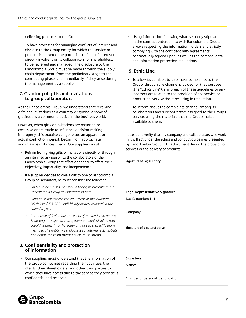delivering products to the Group.

*-* To have processes for managing conflicts of interest and disclose to the Group entity for which the service or product is delivered the potential conflicts of interest that directly involve it or its collaborators or shareholders, to be reviewed and managed. The disclosure to the Bancolombia Group must be made through the supply chain department, from the preliminary stage to the contracting phase, and immediately, if they arise during the management as a supplier.

#### **7. Granting of gifts and invitations to group collaborators**

At the Bancolombia Group, we understand that receiving gifts and invitations as a courtesy or symbolic show of gratitude is a common practice in the business world.

However, when gifts or invitations are recurring or excessive or are made to influence decision-making improperly, this practice can generate an apparent or actual conflict of interest, becoming inappropriate, and in some instances, illegal. Our suppliers must:

- *-* Refrain from giving gifts or invitations directly or through an intermediary person to the collaborators of the Bancolombia Group that affect or appear to affect their objectivity, impartiality, and independence.
- *-* If a supplier decides to give a gift to one of Bancolombia Group collaborators, he must consider the following:
	- *• Under no circumstances should they give presents to the Bancolombia Group collaborators in cash.*
	- *• Gifts must not exceed the equivalent of two hundred US dollars (US\$ 200), individually or accumulated in the calendar year.*
	- *• In the case of invitations to events of an academic nature, knowledge transfer, or that generate technical value, they should address it to the entity and not to a specific team member. The entity will evaluate it to determine its viability and define the team member who must attend.*

#### **8. Confidentiality and protection of information**

*-* Our suppliers must understand that the information of the Group companies regarding their activities, their clients, their shareholders, and other third parties to which they have access due to the service they provide is confidential and reserved.

*-* Using information following what is strictly stipulated in the contract entered into with Bancolombia Group, always respecting the information holders and strictly complying with the confidentiality agreements contractually agreed upon, as well as the personal data and information protection regulations.

#### **9. Ethic Line**

- *-* To allow its collaborators to make complaints to the Group, through the channel provided for that purpose (the "Ethics Line"), any breach of these guidelines or any incorrect act related to the provision of the service or product delivery, without resulting in retaliation.
- *-* To inform about the complaints channel among its collaborators and subcontractors assigned to the Group's service, using the materials that the Group makes available to them.

I attest and verify that my company and collaborators who work in it will act under the ethics and conduct guidelines presented by Bancolombia Group in this document during the provision of services or the delivery of products.

**Signature of Legal Entity**

#### **Legal Representative Signature**

Tax ID number: NIT

Company:

**Signature of a natural person**

**Signature**

Name:

Number of personal identification: